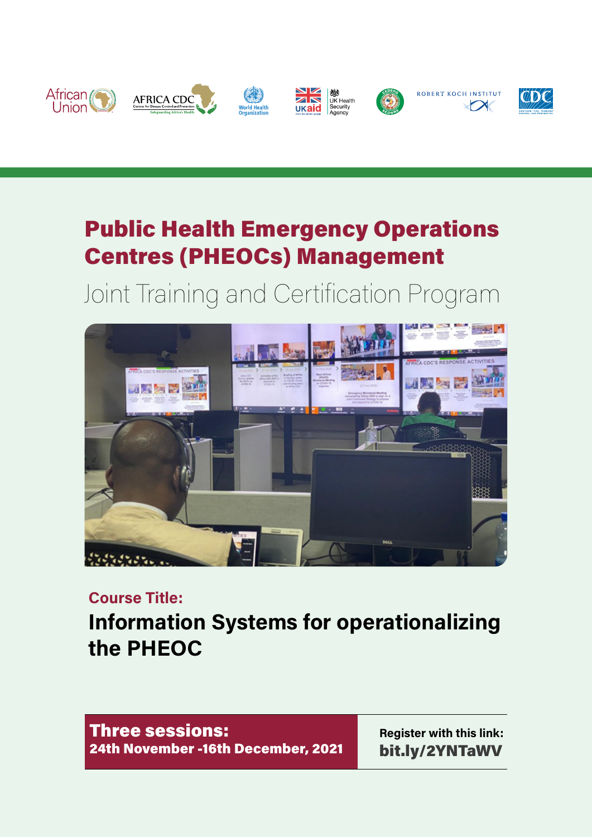

# Public Health Emergency Operations Centres (PHEOCs) Management

# Joint Training and Certification Program



#### **Course Title:**

**Information Systems for operationalizing the PHEOC**

Three sessions: 24th November -16th December, 2021

**Register with this link:** [bit.ly/2YNTaWV](http://bit.ly/2YNTaWV)

ROBERT KOCH INSTITUT

 $\sqrt{\phantom{a}}$ 

 $\mathcal{Q}D\mathcal{Q}$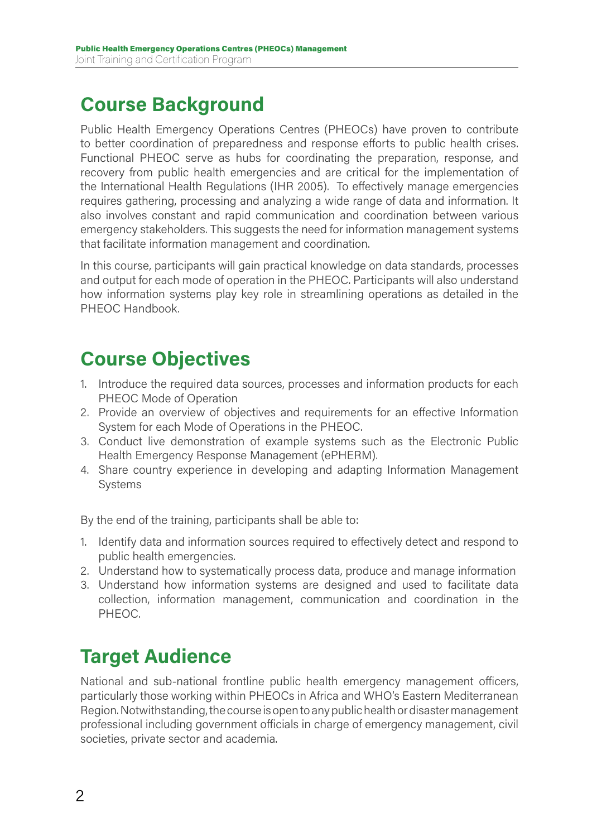#### **Course Background**

Public Health Emergency Operations Centres (PHEOCs) have proven to contribute to better coordination of preparedness and response efforts to public health crises. Functional PHEOC serve as hubs for coordinating the preparation, response, and recovery from public health emergencies and are critical for the implementation of the International Health Regulations (IHR 2005). To effectively manage emergencies requires gathering, processing and analyzing a wide range of data and information. It also involves constant and rapid communication and coordination between various emergency stakeholders. This suggests the need for information management systems that facilitate information management and coordination.

In this course, participants will gain practical knowledge on data standards, processes and output for each mode of operation in the PHEOC. Participants will also understand how information systems play key role in streamlining operations as detailed in the PHEOC Handbook.

#### **Course Objectives**

- 1. Introduce the required data sources, processes and information products for each PHEOC Mode of Operation
- 2. Provide an overview of objectives and requirements for an effective Information System for each Mode of Operations in the PHEOC.
- 3. Conduct live demonstration of example systems such as the Electronic Public Health Emergency Response Management (ePHERM).
- 4. Share country experience in developing and adapting Information Management Systems

By the end of the training, participants shall be able to:

- 1. Identify data and information sources required to effectively detect and respond to public health emergencies.
- 2. Understand how to systematically process data, produce and manage information
- 3. Understand how information systems are designed and used to facilitate data collection, information management, communication and coordination in the PHEOC.

#### **Target Audience**

National and sub-national frontline public health emergency management officers, particularly those working within PHEOCs in Africa and WHO's Eastern Mediterranean Region. Notwithstanding, the course is open to any public health or disaster management professional including government officials in charge of emergency management, civil societies, private sector and academia.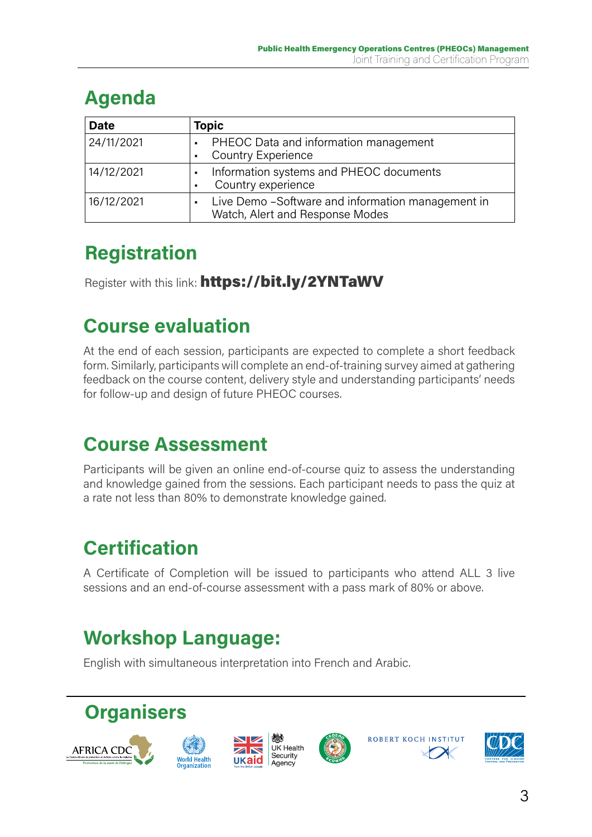### **Agenda**

| <b>Date</b> | Topic                                                                                                   |
|-------------|---------------------------------------------------------------------------------------------------------|
| 24/11/2021  | PHEOC Data and information management<br>$\blacksquare$<br><b>Country Experience</b><br>$\blacksquare$  |
| 14/12/2021  | Information systems and PHEOC documents<br>$\blacksquare$<br>Country experience<br>$\blacksquare$       |
| 16/12/2021  | Live Demo - Software and information management in<br>$\blacksquare$<br>Watch, Alert and Response Modes |

## **Registration**

Register with this link: <https://bit.ly/2YNTaWV>

#### **Course evaluation**

At the end of each session, participants are expected to complete a short feedback form. Similarly, participants will complete an end-of-training survey aimed at gathering feedback on the course content, delivery style and understanding participants' needs for follow-up and design of future PHEOC courses.

#### **Course Assessment**

Participants will be given an online end-of-course quiz to assess the understanding and knowledge gained from the sessions. Each participant needs to pass the quiz at a rate not less than 80% to demonstrate knowledge gained.

### **Certification**

A Certificate of Completion will be issued to participants who attend ALL 3 live sessions and an end-of-course assessment with a pass mark of 80% or above.

# **Workshop Language:**

English with simultaneous interpretation into French and Arabic.